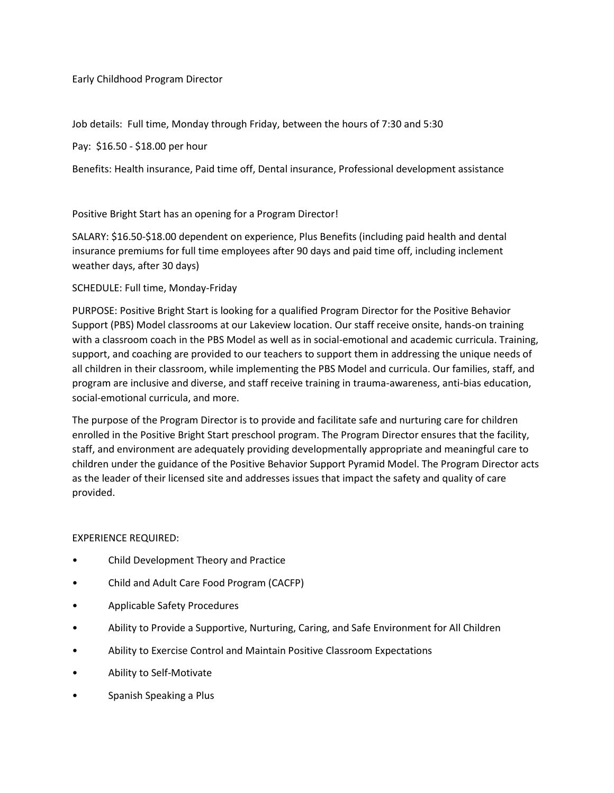Early Childhood Program Director

Job details: Full time, Monday through Friday, between the hours of 7:30 and 5:30

Pay: \$16.50 - \$18.00 per hour

Benefits: Health insurance, Paid time off, Dental insurance, Professional development assistance

Positive Bright Start has an opening for a Program Director!

SALARY: \$16.50-\$18.00 dependent on experience, Plus Benefits (including paid health and dental insurance premiums for full time employees after 90 days and paid time off, including inclement weather days, after 30 days)

#### SCHEDULE: Full time, Monday-Friday

PURPOSE: Positive Bright Start is looking for a qualified Program Director for the Positive Behavior Support (PBS) Model classrooms at our Lakeview location. Our staff receive onsite, hands-on training with a classroom coach in the PBS Model as well as in social-emotional and academic curricula. Training, support, and coaching are provided to our teachers to support them in addressing the unique needs of all children in their classroom, while implementing the PBS Model and curricula. Our families, staff, and program are inclusive and diverse, and staff receive training in trauma-awareness, anti-bias education, social-emotional curricula, and more.

The purpose of the Program Director is to provide and facilitate safe and nurturing care for children enrolled in the Positive Bright Start preschool program. The Program Director ensures that the facility, staff, and environment are adequately providing developmentally appropriate and meaningful care to children under the guidance of the Positive Behavior Support Pyramid Model. The Program Director acts as the leader of their licensed site and addresses issues that impact the safety and quality of care provided.

#### EXPERIENCE REQUIRED:

- Child Development Theory and Practice
- Child and Adult Care Food Program (CACFP)
- Applicable Safety Procedures
- Ability to Provide a Supportive, Nurturing, Caring, and Safe Environment for All Children
- Ability to Exercise Control and Maintain Positive Classroom Expectations
- Ability to Self-Motivate
- Spanish Speaking a Plus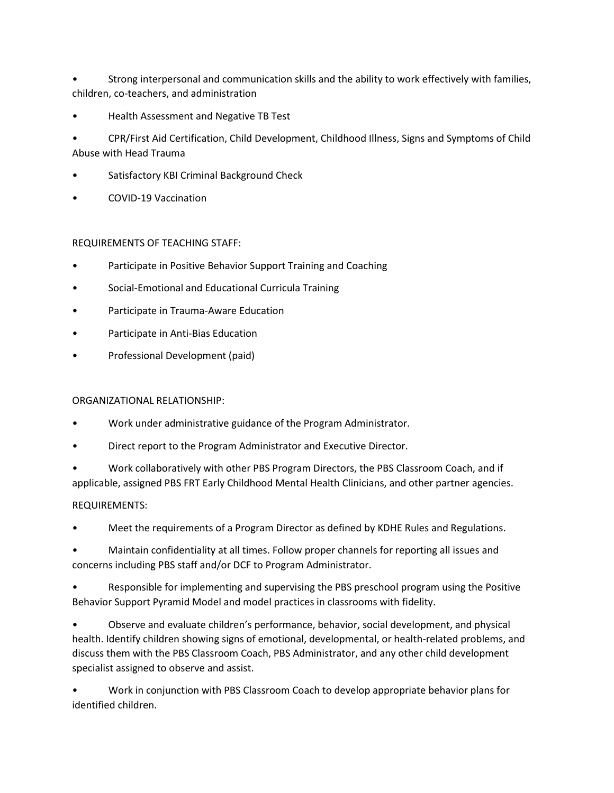• Strong interpersonal and communication skills and the ability to work effectively with families, children, co-teachers, and administration

- Health Assessment and Negative TB Test
- CPR/First Aid Certification, Child Development, Childhood Illness, Signs and Symptoms of Child Abuse with Head Trauma
- Satisfactory KBI Criminal Background Check
- COVID-19 Vaccination

### REQUIREMENTS OF TEACHING STAFF:

- Participate in Positive Behavior Support Training and Coaching
- Social-Emotional and Educational Curricula Training
- Participate in Trauma-Aware Education
- Participate in Anti-Bias Education
- Professional Development (paid)

#### ORGANIZATIONAL RELATIONSHIP:

- Work under administrative guidance of the Program Administrator.
- Direct report to the Program Administrator and Executive Director.

• Work collaboratively with other PBS Program Directors, the PBS Classroom Coach, and if applicable, assigned PBS FRT Early Childhood Mental Health Clinicians, and other partner agencies.

#### REQUIREMENTS:

• Meet the requirements of a Program Director as defined by KDHE Rules and Regulations.

• Maintain confidentiality at all times. Follow proper channels for reporting all issues and concerns including PBS staff and/or DCF to Program Administrator.

• Responsible for implementing and supervising the PBS preschool program using the Positive Behavior Support Pyramid Model and model practices in classrooms with fidelity.

• Observe and evaluate children's performance, behavior, social development, and physical health. Identify children showing signs of emotional, developmental, or health-related problems, and discuss them with the PBS Classroom Coach, PBS Administrator, and any other child development specialist assigned to observe and assist.

• Work in conjunction with PBS Classroom Coach to develop appropriate behavior plans for identified children.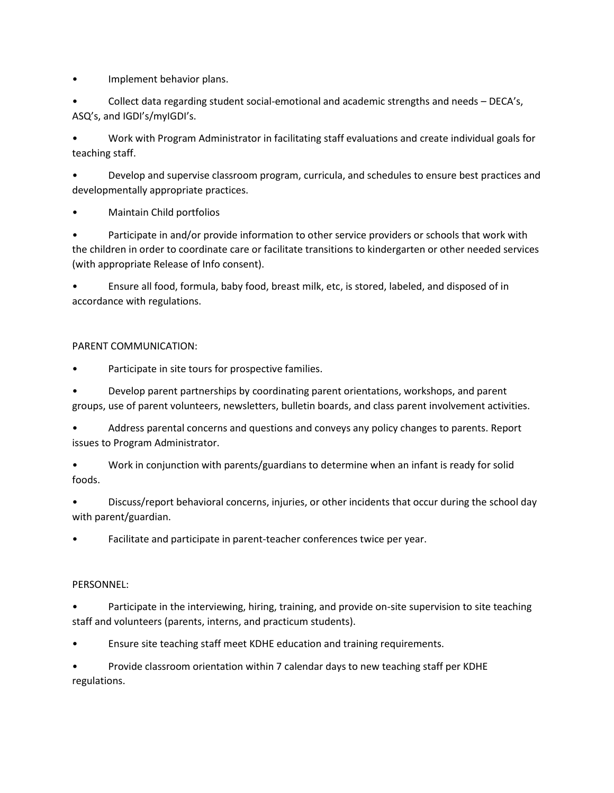• Implement behavior plans.

• Collect data regarding student social-emotional and academic strengths and needs – DECA's, ASQ's, and IGDI's/myIGDI's.

• Work with Program Administrator in facilitating staff evaluations and create individual goals for teaching staff.

• Develop and supervise classroom program, curricula, and schedules to ensure best practices and developmentally appropriate practices.

• Maintain Child portfolios

• Participate in and/or provide information to other service providers or schools that work with the children in order to coordinate care or facilitate transitions to kindergarten or other needed services (with appropriate Release of Info consent).

• Ensure all food, formula, baby food, breast milk, etc, is stored, labeled, and disposed of in accordance with regulations.

# PARENT COMMUNICATION:

Participate in site tours for prospective families.

• Develop parent partnerships by coordinating parent orientations, workshops, and parent groups, use of parent volunteers, newsletters, bulletin boards, and class parent involvement activities.

• Address parental concerns and questions and conveys any policy changes to parents. Report issues to Program Administrator.

• Work in conjunction with parents/guardians to determine when an infant is ready for solid foods.

• Discuss/report behavioral concerns, injuries, or other incidents that occur during the school day with parent/guardian.

Facilitate and participate in parent-teacher conferences twice per year.

# PERSONNEL:

• Participate in the interviewing, hiring, training, and provide on-site supervision to site teaching staff and volunteers (parents, interns, and practicum students).

• Ensure site teaching staff meet KDHE education and training requirements.

• Provide classroom orientation within 7 calendar days to new teaching staff per KDHE regulations.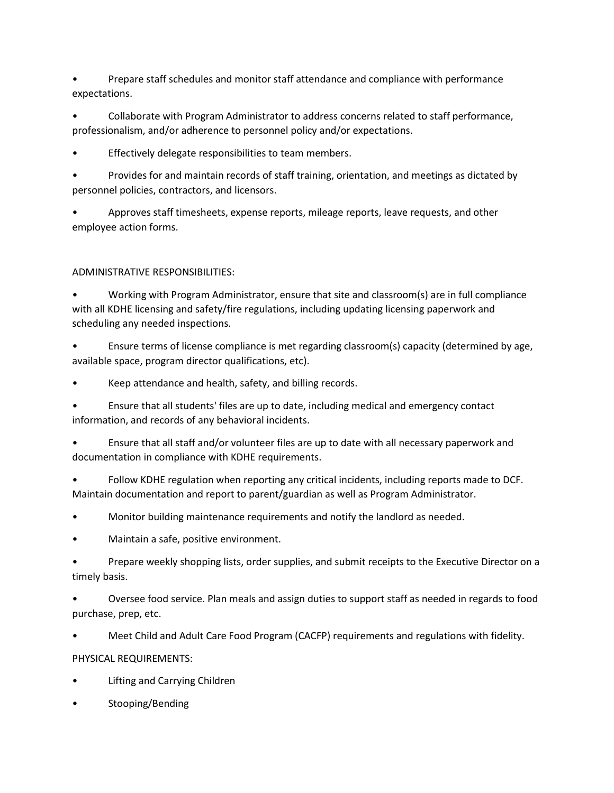• Prepare staff schedules and monitor staff attendance and compliance with performance expectations.

• Collaborate with Program Administrator to address concerns related to staff performance, professionalism, and/or adherence to personnel policy and/or expectations.

Effectively delegate responsibilities to team members.

• Provides for and maintain records of staff training, orientation, and meetings as dictated by personnel policies, contractors, and licensors.

• Approves staff timesheets, expense reports, mileage reports, leave requests, and other employee action forms.

# ADMINISTRATIVE RESPONSIBILITIES:

• Working with Program Administrator, ensure that site and classroom(s) are in full compliance with all KDHE licensing and safety/fire regulations, including updating licensing paperwork and scheduling any needed inspections.

• Ensure terms of license compliance is met regarding classroom(s) capacity (determined by age, available space, program director qualifications, etc).

• Keep attendance and health, safety, and billing records.

• Ensure that all students' files are up to date, including medical and emergency contact information, and records of any behavioral incidents.

• Ensure that all staff and/or volunteer files are up to date with all necessary paperwork and documentation in compliance with KDHE requirements.

• Follow KDHE regulation when reporting any critical incidents, including reports made to DCF. Maintain documentation and report to parent/guardian as well as Program Administrator.

• Monitor building maintenance requirements and notify the landlord as needed.

• Maintain a safe, positive environment.

• Prepare weekly shopping lists, order supplies, and submit receipts to the Executive Director on a timely basis.

• Oversee food service. Plan meals and assign duties to support staff as needed in regards to food purchase, prep, etc.

• Meet Child and Adult Care Food Program (CACFP) requirements and regulations with fidelity.

PHYSICAL REQUIREMENTS:

- Lifting and Carrying Children
- Stooping/Bending